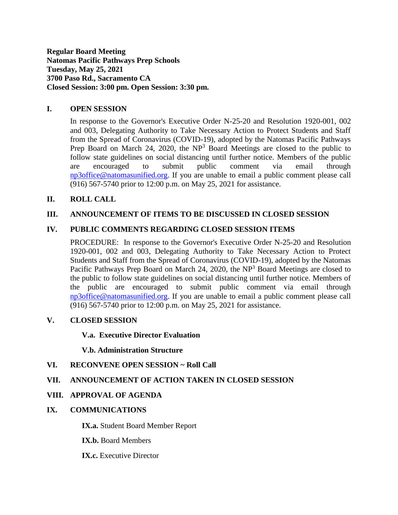**Regular Board Meeting Natomas Pacific Pathways Prep Schools Tuesday, May 25, 2021 3700 Paso Rd., Sacramento CA Closed Session: 3:00 pm. Open Session: 3:30 pm.**

## **I. OPEN SESSION**

In response to the Governor's Executive Order N-25-20 and Resolution 1920-001, 002 and 003, Delegating Authority to Take Necessary Action to Protect Students and Staff from the Spread of Coronavirus (COVID-19), adopted by the Natomas Pacific Pathways Prep Board on March 24, 2020, the  $NP<sup>3</sup>$  Board Meetings are closed to the public to follow state guidelines on social distancing until further notice. Members of the public are encouraged to submit public comment via email through [np3office@natomasunified.org.](mailto:np3office@natomasunified.org) If you are unable to email a public comment please call (916) 567-5740 prior to 12:00 p.m. on May 25, 2021 for assistance.

## **II. ROLL CALL**

## **III. ANNOUNCEMENT OF ITEMS TO BE DISCUSSED IN CLOSED SESSION**

## **IV. PUBLIC COMMENTS REGARDING CLOSED SESSION ITEMS**

PROCEDURE: In response to the Governor's Executive Order N-25-20 and Resolution 1920-001, 002 and 003, Delegating Authority to Take Necessary Action to Protect Students and Staff from the Spread of Coronavirus (COVID-19), adopted by the Natomas Pacific Pathways Prep Board on March 24, 2020, the NP<sup>3</sup> Board Meetings are closed to the public to follow state guidelines on social distancing until further notice. Members of the public are encouraged to submit public comment via email through [np3office@natomasunified.org.](mailto:np3office@natomasunified.org) If you are unable to email a public comment please call (916) 567-5740 prior to 12:00 p.m. on May 25, 2021 for assistance.

### **V. CLOSED SESSION**

### **V.a. Executive Director Evaluation**

#### **V.b. Administration Structure**

## **VI. RECONVENE OPEN SESSION ~ Roll Call**

### **VII. ANNOUNCEMENT OF ACTION TAKEN IN CLOSED SESSION**

### **VIII. APPROVAL OF AGENDA**

### **IX. COMMUNICATIONS**

**IX.a.** Student Board Member Report

**IX.b.** Board Members

**IX.c.** Executive Director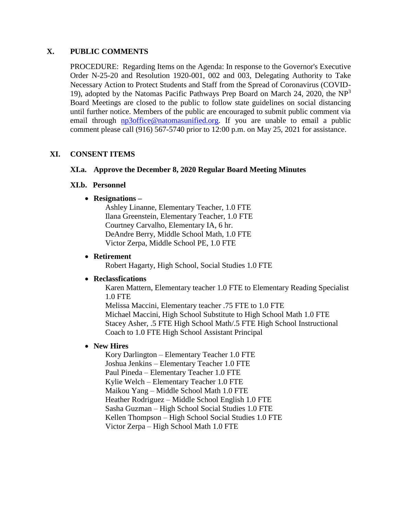### **X. PUBLIC COMMENTS**

PROCEDURE: Regarding Items on the Agenda: In response to the Governor's Executive Order N-25-20 and Resolution 1920-001, 002 and 003, Delegating Authority to Take Necessary Action to Protect Students and Staff from the Spread of Coronavirus (COVID-19), adopted by the Natomas Pacific Pathways Prep Board on March 24, 2020, the  $NP<sup>3</sup>$ Board Meetings are closed to the public to follow state guidelines on social distancing until further notice. Members of the public are encouraged to submit public comment via email through **np3office@natomasunified.org**. If you are unable to email a public comment please call (916) 567-5740 prior to 12:00 p.m. on May 25, 2021 for assistance.

# **XI. CONSENT ITEMS**

## **XI.a. Approve the December 8, 2020 Regular Board Meeting Minutes**

### **XI.b. Personnel**

## **Resignations –**

Ashley Linanne, Elementary Teacher, 1.0 FTE Ilana Greenstein, Elementary Teacher, 1.0 FTE Courtney Carvalho, Elementary IA, 6 hr. DeAndre Berry, Middle School Math, 1.0 FTE Victor Zerpa, Middle School PE, 1.0 FTE

### **Retirement**

Robert Hagarty, High School, Social Studies 1.0 FTE

### **Reclassfications**

Karen Mattern, Elementary teacher 1.0 FTE to Elementary Reading Specialist 1.0 FTE

Melissa Maccini, Elementary teacher .75 FTE to 1.0 FTE Michael Maccini, High School Substitute to High School Math 1.0 FTE Stacey Asher, .5 FTE High School Math/.5 FTE High School Instructional Coach to 1.0 FTE High School Assistant Principal

# **New Hires**

Kory Darlington – Elementary Teacher 1.0 FTE Joshua Jenkins – Elementary Teacher 1.0 FTE Paul Pineda – Elementary Teacher 1.0 FTE Kylie Welch – Elementary Teacher 1.0 FTE Maikou Yang – Middle School Math 1.0 FTE Heather Rodriguez – Middle School English 1.0 FTE Sasha Guzman – High School Social Studies 1.0 FTE Kellen Thompson – High School Social Studies 1.0 FTE Victor Zerpa – High School Math 1.0 FTE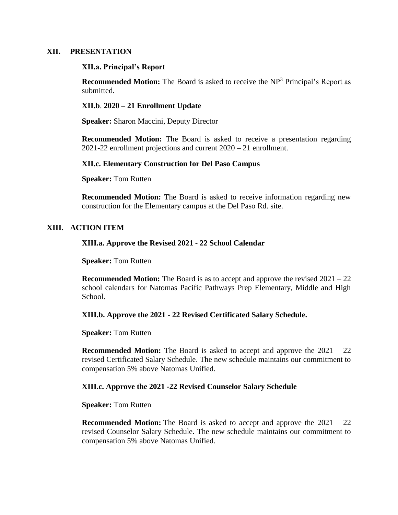#### **XII. PRESENTATION**

#### **XII.a. Principal's Report**

**Recommended Motion:** The Board is asked to receive the NP<sup>3</sup> Principal's Report as submitted.

### **XII.b**. **2020 – 21 Enrollment Update**

**Speaker:** Sharon Maccini, Deputy Director

**Recommended Motion:** The Board is asked to receive a presentation regarding 2021-22 enrollment projections and current 2020 – 21 enrollment.

#### **XII.c. Elementary Construction for Del Paso Campus**

**Speaker:** Tom Rutten

**Recommended Motion:** The Board is asked to receive information regarding new construction for the Elementary campus at the Del Paso Rd. site.

### **XIII. ACTION ITEM**

### **XIII.a. Approve the Revised 2021 - 22 School Calendar**

#### **Speaker:** Tom Rutten

**Recommended Motion:** The Board is as to accept and approve the revised  $2021 - 22$ school calendars for Natomas Pacific Pathways Prep Elementary, Middle and High School.

### **XIII.b. Approve the 2021 - 22 Revised Certificated Salary Schedule.**

#### **Speaker:** Tom Rutten

**Recommended Motion:** The Board is asked to accept and approve the 2021 – 22 revised Certificated Salary Schedule. The new schedule maintains our commitment to compensation 5% above Natomas Unified.

### **XIII.c. Approve the 2021 -22 Revised Counselor Salary Schedule**

#### **Speaker:** Tom Rutten

**Recommended Motion:** The Board is asked to accept and approve the 2021 – 22 revised Counselor Salary Schedule. The new schedule maintains our commitment to compensation 5% above Natomas Unified.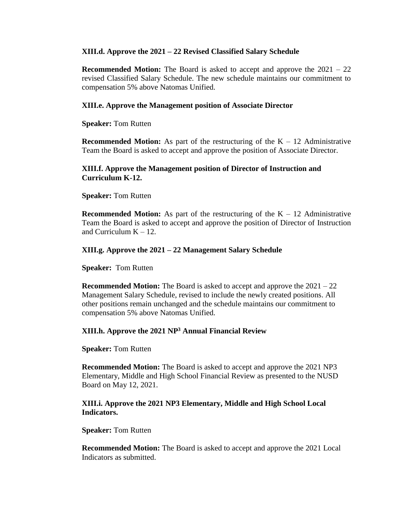### **XIII.d. Approve the 2021 – 22 Revised Classified Salary Schedule**

**Recommended Motion:** The Board is asked to accept and approve the 2021 – 22 revised Classified Salary Schedule. The new schedule maintains our commitment to compensation 5% above Natomas Unified.

## **XIII.e. Approve the Management position of Associate Director**

**Speaker:** Tom Rutten

**Recommended Motion:** As part of the restructuring of the  $K - 12$  Administrative Team the Board is asked to accept and approve the position of Associate Director.

## **XIII.f. Approve the Management position of Director of Instruction and Curriculum K-12.**

**Speaker:** Tom Rutten

**Recommended Motion:** As part of the restructuring of the  $K - 12$  Administrative Team the Board is asked to accept and approve the position of Director of Instruction and Curriculum  $K - 12$ .

## **XIII.g. Approve the 2021 – 22 Management Salary Schedule**

**Speaker:** Tom Rutten

**Recommended Motion:** The Board is asked to accept and approve the 2021 – 22 Management Salary Schedule, revised to include the newly created positions. All other positions remain unchanged and the schedule maintains our commitment to compensation 5% above Natomas Unified.

### **XIII.h. Approve the 2021 NP<sup>3</sup> Annual Financial Review**

**Speaker:** Tom Rutten

**Recommended Motion:** The Board is asked to accept and approve the 2021 NP3 Elementary, Middle and High School Financial Review as presented to the NUSD Board on May 12, 2021.

## **XIII.i. Approve the 2021 NP3 Elementary, Middle and High School Local Indicators.**

**Speaker:** Tom Rutten

**Recommended Motion:** The Board is asked to accept and approve the 2021 Local Indicators as submitted.